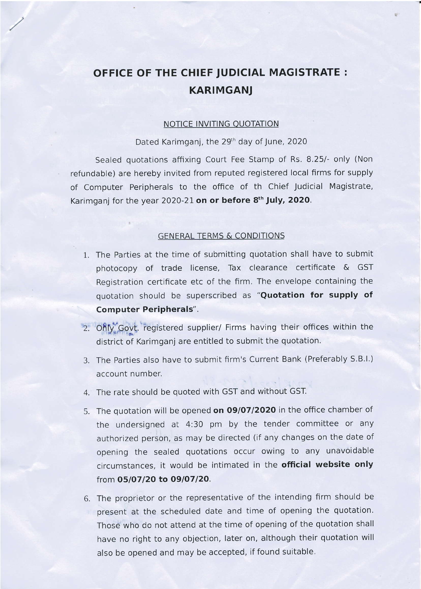## oFFrcE oF THE CHIEF JUDICIAL MAGISTRATE : KARIMGANJ

## NOTICE INVITING QUOTATION

Dated Karimganj, the 29<sup>th</sup> day of June, 2020

Sealed quotations affixing Court Fee Stamp of Rs. 8.25/- only (Non refundable) are hereby invited from reputed registered local firms for supply of Computer Peripherals to the office of th Chief Judicial Magistrate, Karimganj for the year 2020-21 on or before 8<sup>th</sup> July, 2020.

## GENERAL TERMS & CONDITIONS

- 1. The Parties at the time of submitting quotation shall have to submit photocopy of trade license, Tax clearance certificate & GST Registration certificate etc of the firm. The envelope containing the quotation should be superscribed as "Quotation for supply of Computer Peripherals".
- 2. Only Govt. registered supplier/ Firms having their offices within the district of Karimganj are entitled to submit the quotation.
- 3. The Parties also have to submit firm's Current Bank (Preferably S.B.I.) account number.
- 4. The rate should be quoted with GST and without GST.
- 5. The quotation will be opened on 09/07/2020 in the office chamber of the undersigned at 4:30 pm by the tender committee or any authorized person, as may be directed (if any changes on the date of opening the sealed quotations occur owing to any unavoidable circumstances, it would be intimated in the official website only from 05/07/20 to 09/07/20.
- The proprietor or the representative of the intending frrm should be 6.present at the scheduled date and time of opening the quotation. Those who do not attend at the time of opening of the quotation shall have no right to any objection, later on, although their quotation will also be opened and may be accepted, if found suitable,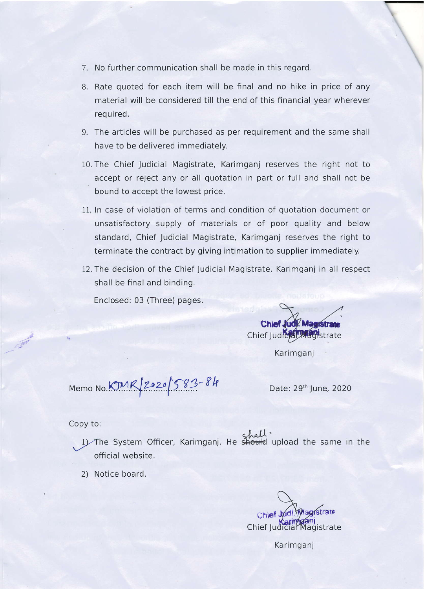- 7. No further communication shall be made in this regard.
- 8. Rate quoted for each item will be final and no hike in price of any material will be considered till the end of this financial year wherever required.
- 9. The articles will be purchased as per requirement and the same shall have to be delivered immediately.
- 10. The Chief Judicial Magistrate, Karimganj reserves the right not to accept or reject any or all quotation in part or full and shall not be bound to accept the lowest price.
- 11. ln case of violation of terms and condition of quotation document or unsatisfactory supply of materials or of poor quality and below standard, Chief Judicial Magistrate, Karimganj reserves the right to terminate the contract by giving intimation to supplier immediately,
- 12. The decision of the Chief Judicial Magistrate, Karimganj in all respect shall be final and binding.

Enclosed: 03 (Three) pages.

Chief Chief Judicial Madi

**Karimganj** 

Memo No.  $R/2020/S83-Sh$  Date: 29<sup>th</sup> June, 2020

Copy to:

;

.,l^"lL' 1) The System Officer, Karimganj. He should upload the same in the official website.

2) Notice board.

Magistrate Chief Chief Judicial Magistrate

**Karimganj**